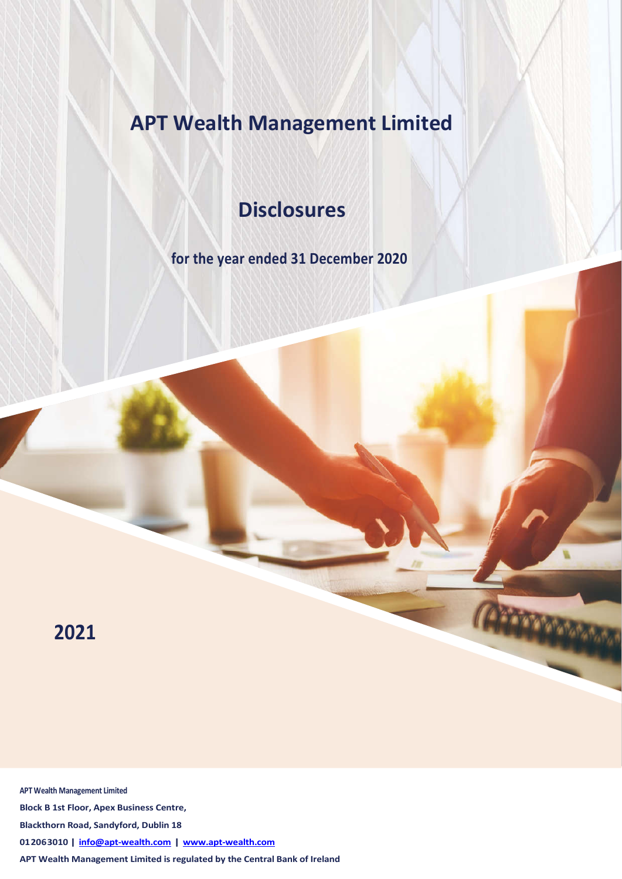# **APT Wealth Management Limited**

# **Disclosures**

**for the year ended 31 December 2020**

**2021**

**APT Wealth Management Limited Block B 1st Floor, Apex Business Centre, Blackthorn Road, Sandyford, Dublin 18 012063010 | info@apt-wealth.com | www.apt-wealth.com APT Wealth Management Limited is regulated by the Central Bank of Ireland**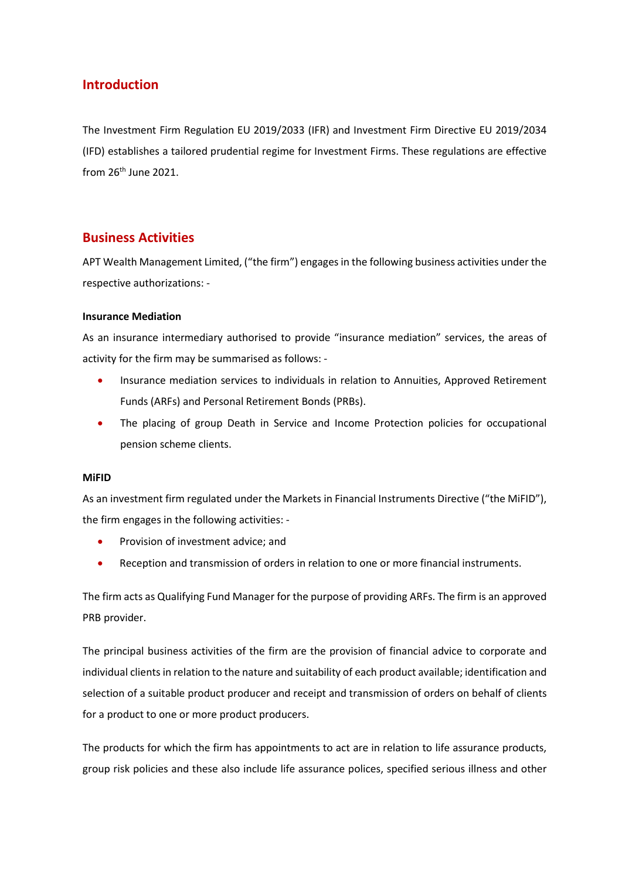# **Introduction**

The Investment Firm Regulation EU 2019/2033 (IFR) and Investment Firm Directive EU 2019/2034 (IFD) establishes a tailored prudential regime for Investment Firms. These regulations are effective from  $26<sup>th</sup>$  June 2021.

# **Business Activities**

APT Wealth Management Limited, ("the firm") engages in the following business activities under the respective authorizations: -

#### **Insurance Mediation**

As an insurance intermediary authorised to provide "insurance mediation" services, the areas of activity for the firm may be summarised as follows: -

- Insurance mediation services to individuals in relation to Annuities, Approved Retirement Funds (ARFs) and Personal Retirement Bonds (PRBs).
- The placing of group Death in Service and Income Protection policies for occupational pension scheme clients.

#### **MiFID**

As an investment firm regulated under the Markets in Financial Instruments Directive ("the MiFID"), the firm engages in the following activities: -

- Provision of investment advice; and
- Reception and transmission of orders in relation to one or more financial instruments.

The firm acts as Qualifying Fund Manager for the purpose of providing ARFs. The firm is an approved PRB provider.

The principal business activities of the firm are the provision of financial advice to corporate and individual clients in relation to the nature and suitability of each product available; identification and selection of a suitable product producer and receipt and transmission of orders on behalf of clients for a product to one or more product producers.

The products for which the firm has appointments to act are in relation to life assurance products, group risk policies and these also include life assurance polices, specified serious illness and other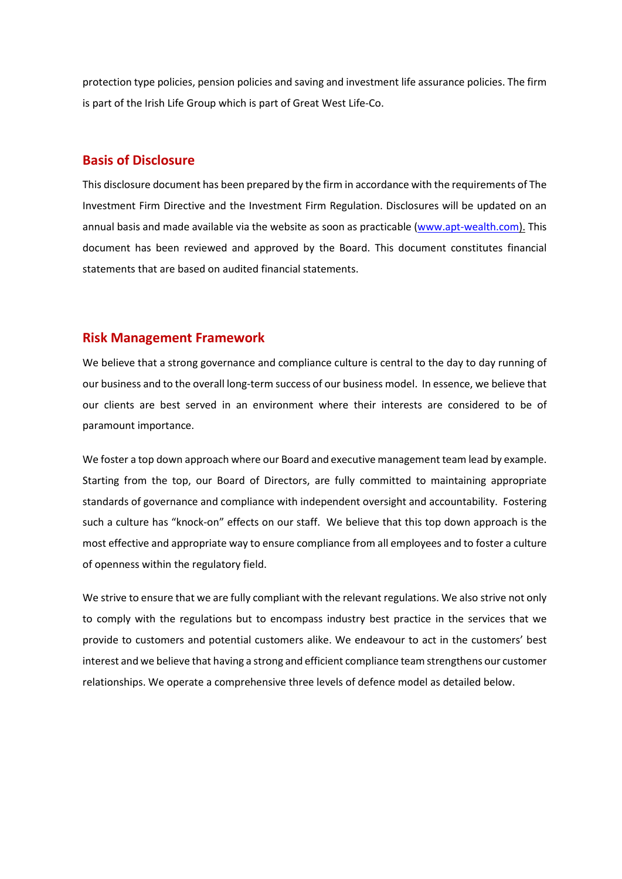protection type policies, pension policies and saving and investment life assurance policies. The firm is part of the Irish Life Group which is part of Great West Life-Co.

# **Basis of Disclosure**

This disclosure document has been prepared by the firm in accordance with the requirements of The Investment Firm Directive and the Investment Firm Regulation. Disclosures will be updated on an annual basis and made available via the website as soon as practicable (www.apt-wealth.com). This document has been reviewed and approved by the Board. This document constitutes financial statements that are based on audited financial statements.

## **Risk Management Framework**

We believe that a strong governance and compliance culture is central to the day to day running of our business and to the overall long-term success of our business model. In essence, we believe that our clients are best served in an environment where their interests are considered to be of paramount importance.

We foster a top down approach where our Board and executive management team lead by example. Starting from the top, our Board of Directors, are fully committed to maintaining appropriate standards of governance and compliance with independent oversight and accountability. Fostering such a culture has "knock-on" effects on our staff. We believe that this top down approach is the most effective and appropriate way to ensure compliance from all employees and to foster a culture of openness within the regulatory field.

We strive to ensure that we are fully compliant with the relevant regulations. We also strive not only to comply with the regulations but to encompass industry best practice in the services that we provide to customers and potential customers alike. We endeavour to act in the customers' best interest and we believe that having a strong and efficient compliance team strengthens our customer relationships. We operate a comprehensive three levels of defence model as detailed below.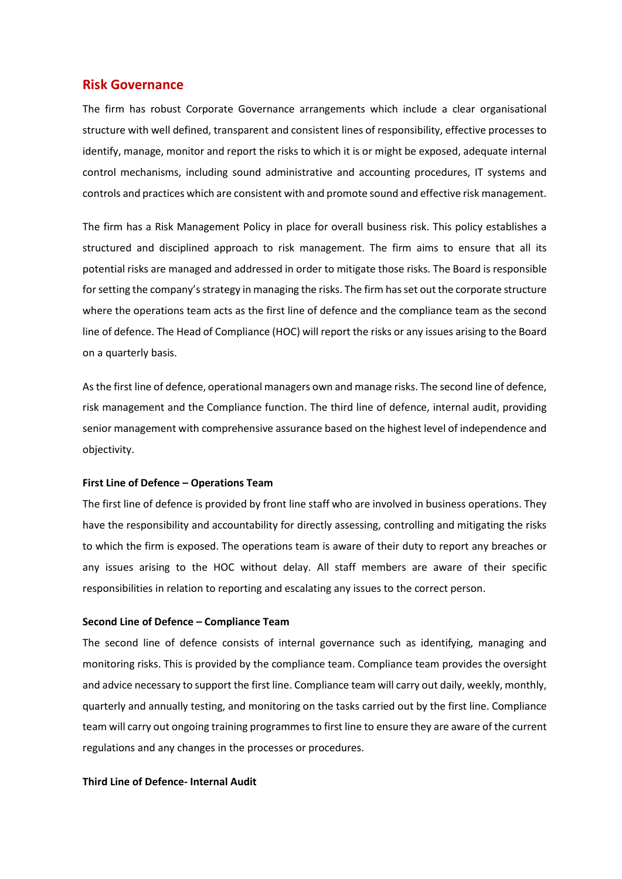#### **Risk Governance**

The firm has robust Corporate Governance arrangements which include a clear organisational structure with well defined, transparent and consistent lines of responsibility, effective processes to identify, manage, monitor and report the risks to which it is or might be exposed, adequate internal control mechanisms, including sound administrative and accounting procedures, IT systems and controls and practices which are consistent with and promote sound and effective risk management.

The firm has a Risk Management Policy in place for overall business risk. This policy establishes a structured and disciplined approach to risk management. The firm aims to ensure that all its potential risks are managed and addressed in order to mitigate those risks. The Board is responsible for setting the company's strategy in managing the risks. The firm has set out the corporate structure where the operations team acts as the first line of defence and the compliance team as the second line of defence. The Head of Compliance (HOC) will report the risks or any issues arising to the Board on a quarterly basis.

As the first line of defence, operational managers own and manage risks. The second line of defence, risk management and the Compliance function. The third line of defence, internal audit, providing senior management with comprehensive assurance based on the highest level of independence and objectivity.

#### **First Line of Defence – Operations Team**

The first line of defence is provided by front line staff who are involved in business operations. They have the responsibility and accountability for directly assessing, controlling and mitigating the risks to which the firm is exposed. The operations team is aware of their duty to report any breaches or any issues arising to the HOC without delay. All staff members are aware of their specific responsibilities in relation to reporting and escalating any issues to the correct person.

#### **Second Line of Defence – Compliance Team**

The second line of defence consists of internal governance such as identifying, managing and monitoring risks. This is provided by the compliance team. Compliance team provides the oversight and advice necessary to support the first line. Compliance team will carry out daily, weekly, monthly, quarterly and annually testing, and monitoring on the tasks carried out by the first line. Compliance team will carry out ongoing training programmes to first line to ensure they are aware of the current regulations and any changes in the processes or procedures.

#### **Third Line of Defence- Internal Audit**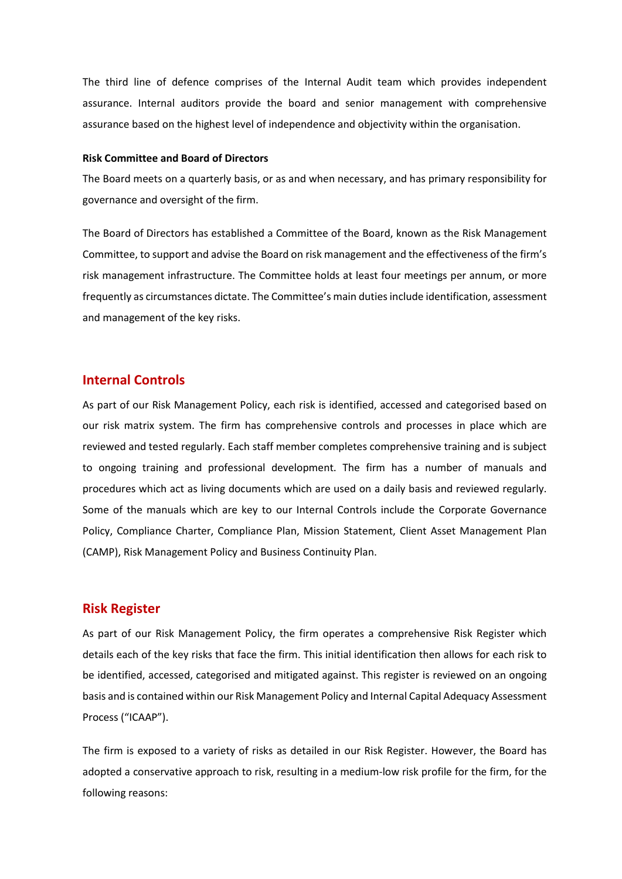The third line of defence comprises of the Internal Audit team which provides independent assurance. Internal auditors provide the board and senior management with comprehensive assurance based on the highest level of independence and objectivity within the organisation.

#### **Risk Committee and Board of Directors**

The Board meets on a quarterly basis, or as and when necessary, and has primary responsibility for governance and oversight of the firm.

The Board of Directors has established a Committee of the Board, known as the Risk Management Committee, to support and advise the Board on risk management and the effectiveness of the firm's risk management infrastructure. The Committee holds at least four meetings per annum, or more frequently as circumstances dictate. The Committee's main duties include identification, assessment and management of the key risks.

# **Internal Controls**

As part of our Risk Management Policy, each risk is identified, accessed and categorised based on our risk matrix system. The firm has comprehensive controls and processes in place which are reviewed and tested regularly. Each staff member completes comprehensive training and is subject to ongoing training and professional development. The firm has a number of manuals and procedures which act as living documents which are used on a daily basis and reviewed regularly. Some of the manuals which are key to our Internal Controls include the Corporate Governance Policy, Compliance Charter, Compliance Plan, Mission Statement, Client Asset Management Plan (CAMP), Risk Management Policy and Business Continuity Plan.

#### **Risk Register**

As part of our Risk Management Policy, the firm operates a comprehensive Risk Register which details each of the key risks that face the firm. This initial identification then allows for each risk to be identified, accessed, categorised and mitigated against. This register is reviewed on an ongoing basis and is contained within our Risk Management Policy and Internal Capital Adequacy Assessment Process ("ICAAP").

The firm is exposed to a variety of risks as detailed in our Risk Register. However, the Board has adopted a conservative approach to risk, resulting in a medium-low risk profile for the firm, for the following reasons: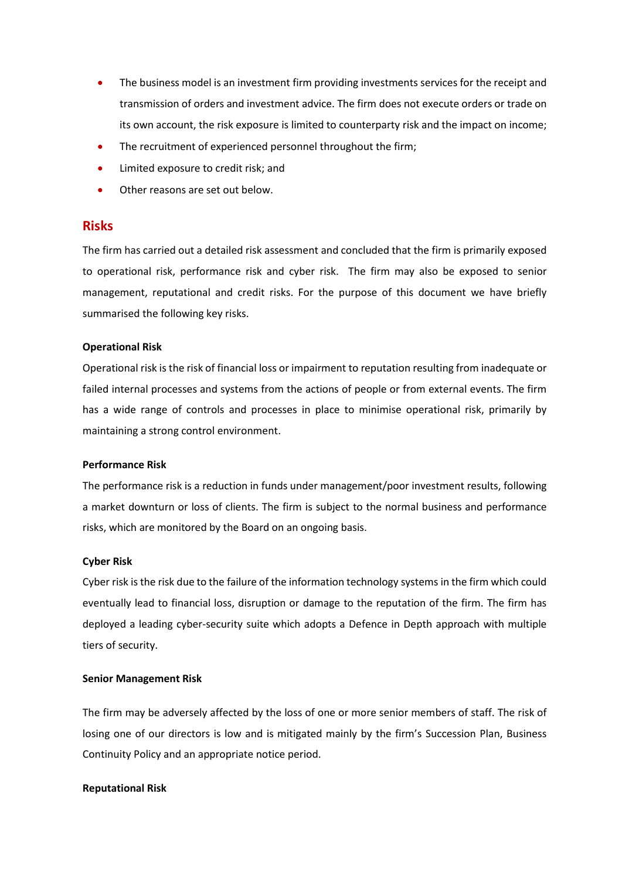- The business model is an investment firm providing investments services for the receipt and transmission of orders and investment advice. The firm does not execute orders or trade on its own account, the risk exposure is limited to counterparty risk and the impact on income;
- The recruitment of experienced personnel throughout the firm;
- Limited exposure to credit risk; and
- Other reasons are set out below.

## **Risks**

The firm has carried out a detailed risk assessment and concluded that the firm is primarily exposed to operational risk, performance risk and cyber risk. The firm may also be exposed to senior management, reputational and credit risks. For the purpose of this document we have briefly summarised the following key risks.

#### **Operational Risk**

Operational risk is the risk of financial loss or impairment to reputation resulting from inadequate or failed internal processes and systems from the actions of people or from external events. The firm has a wide range of controls and processes in place to minimise operational risk, primarily by maintaining a strong control environment.

#### **Performance Risk**

The performance risk is a reduction in funds under management/poor investment results, following a market downturn or loss of clients. The firm is subject to the normal business and performance risks, which are monitored by the Board on an ongoing basis.

#### **Cyber Risk**

Cyber risk is the risk due to the failure of the information technology systems in the firm which could eventually lead to financial loss, disruption or damage to the reputation of the firm. The firm has deployed a leading cyber-security suite which adopts a Defence in Depth approach with multiple tiers of security.

#### **Senior Management Risk**

The firm may be adversely affected by the loss of one or more senior members of staff. The risk of losing one of our directors is low and is mitigated mainly by the firm's Succession Plan, Business Continuity Policy and an appropriate notice period.

#### **Reputational Risk**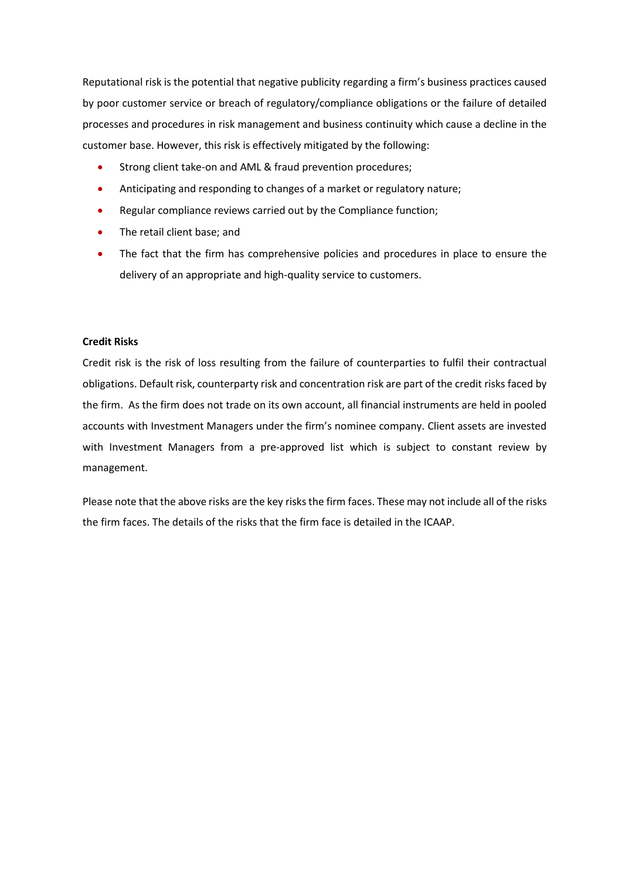Reputational risk is the potential that negative publicity regarding a firm's business practices caused by poor customer service or breach of regulatory/compliance obligations or the failure of detailed processes and procedures in risk management and business continuity which cause a decline in the customer base. However, this risk is effectively mitigated by the following:

- Strong client take-on and AML & fraud prevention procedures;
- Anticipating and responding to changes of a market or regulatory nature;
- Regular compliance reviews carried out by the Compliance function;
- The retail client base; and
- The fact that the firm has comprehensive policies and procedures in place to ensure the delivery of an appropriate and high-quality service to customers.

#### **Credit Risks**

Credit risk is the risk of loss resulting from the failure of counterparties to fulfil their contractual obligations. Default risk, counterparty risk and concentration risk are part of the credit risks faced by the firm. As the firm does not trade on its own account, all financial instruments are held in pooled accounts with Investment Managers under the firm's nominee company. Client assets are invested with Investment Managers from a pre-approved list which is subject to constant review by management.

Please note that the above risks are the key risks the firm faces. These may not include all of the risks the firm faces. The details of the risks that the firm face is detailed in the ICAAP.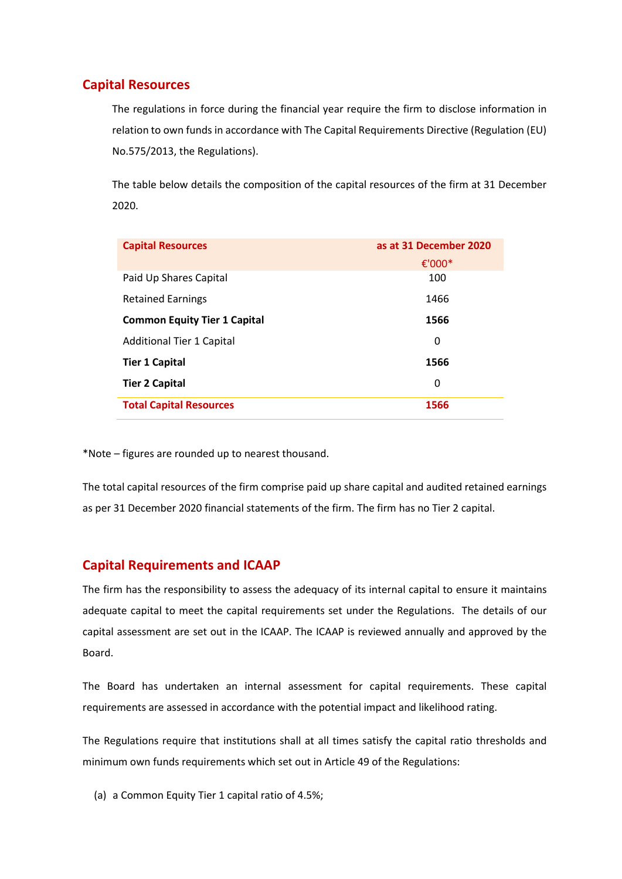# **Capital Resources**

The regulations in force during the financial year require the firm to disclose information in relation to own funds in accordance with The Capital Requirements Directive (Regulation (EU) No.575/2013, the Regulations).

The table below details the composition of the capital resources of the firm at 31 December 2020.

| <b>Capital Resources</b>            | as at 31 December 2020 |
|-------------------------------------|------------------------|
|                                     | €'000*                 |
| Paid Up Shares Capital              | 100                    |
| <b>Retained Earnings</b>            | 1466                   |
| <b>Common Equity Tier 1 Capital</b> | 1566                   |
| <b>Additional Tier 1 Capital</b>    | 0                      |
| <b>Tier 1 Capital</b>               | 1566                   |
| <b>Tier 2 Capital</b>               | 0                      |
| <b>Total Capital Resources</b>      | 1566                   |

\*Note – figures are rounded up to nearest thousand.

The total capital resources of the firm comprise paid up share capital and audited retained earnings as per 31 December 2020 financial statements of the firm. The firm has no Tier 2 capital.

# **Capital Requirements and ICAAP**

The firm has the responsibility to assess the adequacy of its internal capital to ensure it maintains adequate capital to meet the capital requirements set under the Regulations. The details of our capital assessment are set out in the ICAAP. The ICAAP is reviewed annually and approved by the Board.

The Board has undertaken an internal assessment for capital requirements. These capital requirements are assessed in accordance with the potential impact and likelihood rating.

The Regulations require that institutions shall at all times satisfy the capital ratio thresholds and minimum own funds requirements which set out in Article 49 of the Regulations:

(a) a Common Equity Tier 1 capital ratio of 4.5%;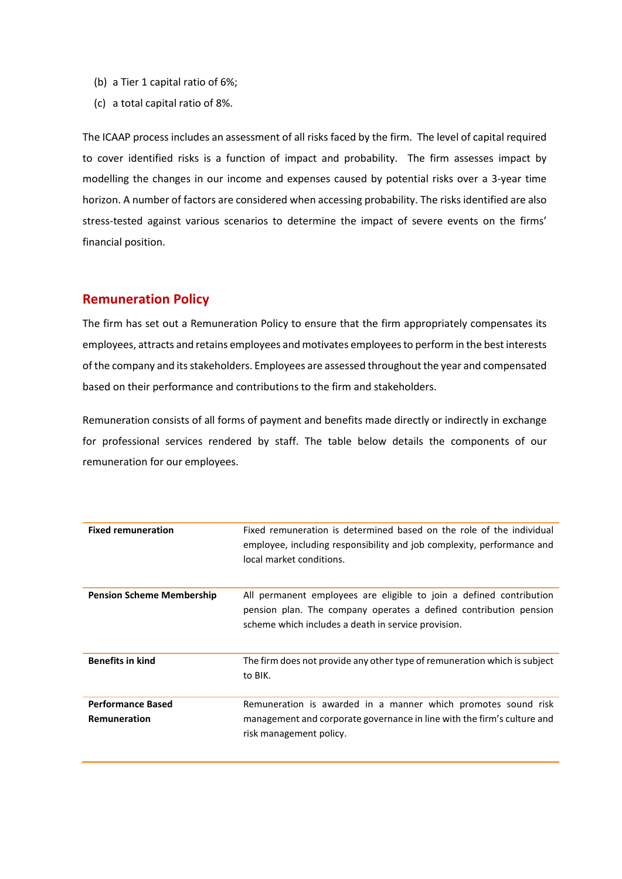- (b) a Tier 1 capital ratio of 6%;
- (c) a total capital ratio of 8%.

The ICAAP process includes an assessment of all risks faced by the firm. The level of capital required to cover identified risks is a function of impact and probability. The firm assesses impact by modelling the changes in our income and expenses caused by potential risks over a 3-year time horizon. A number of factors are considered when accessing probability. The risks identified are also stress-tested against various scenarios to determine the impact of severe events on the firms' financial position.

# **Remuneration Policy**

The firm has set out a Remuneration Policy to ensure that the firm appropriately compensates its employees, attracts and retains employees and motivates employees to perform in the best interests of the company and its stakeholders. Employees are assessed throughout the year and compensated based on their performance and contributions to the firm and stakeholders.

Remuneration consists of all forms of payment and benefits made directly or indirectly in exchange for professional services rendered by staff. The table below details the components of our remuneration for our employees.

| <b>Fixed remuneration</b>        | Fixed remuneration is determined based on the role of the individual<br>employee, including responsibility and job complexity, performance and<br>local market conditions.                      |
|----------------------------------|-------------------------------------------------------------------------------------------------------------------------------------------------------------------------------------------------|
| <b>Pension Scheme Membership</b> | All permanent employees are eligible to join a defined contribution<br>pension plan. The company operates a defined contribution pension<br>scheme which includes a death in service provision. |
| <b>Benefits in kind</b>          | The firm does not provide any other type of remuneration which is subject<br>to BIK.                                                                                                            |
| <b>Performance Based</b>         | Remuneration is awarded in a manner which promotes sound risk                                                                                                                                   |
| Remuneration                     | management and corporate governance in line with the firm's culture and<br>risk management policy.                                                                                              |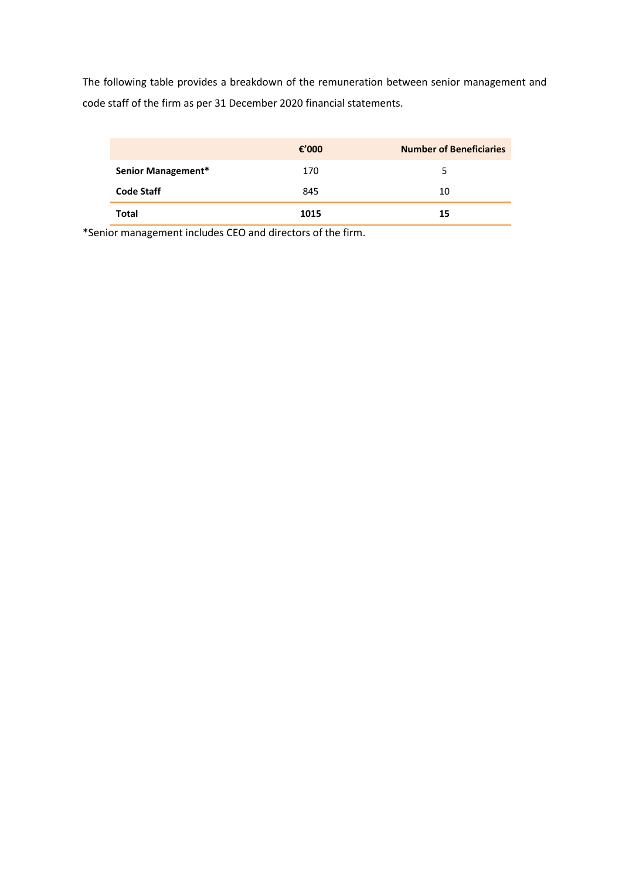The following table provides a breakdown of the remuneration between senior management and code staff of the firm as per 31 December 2020 financial statements.

|                    | € $'000$ | <b>Number of Beneficiaries</b> |
|--------------------|----------|--------------------------------|
| Senior Management* | 170      |                                |
| <b>Code Staff</b>  | 845      | 10                             |
| Total              | 1015     | 15                             |

\*Senior management includes CEO and directors of the firm.